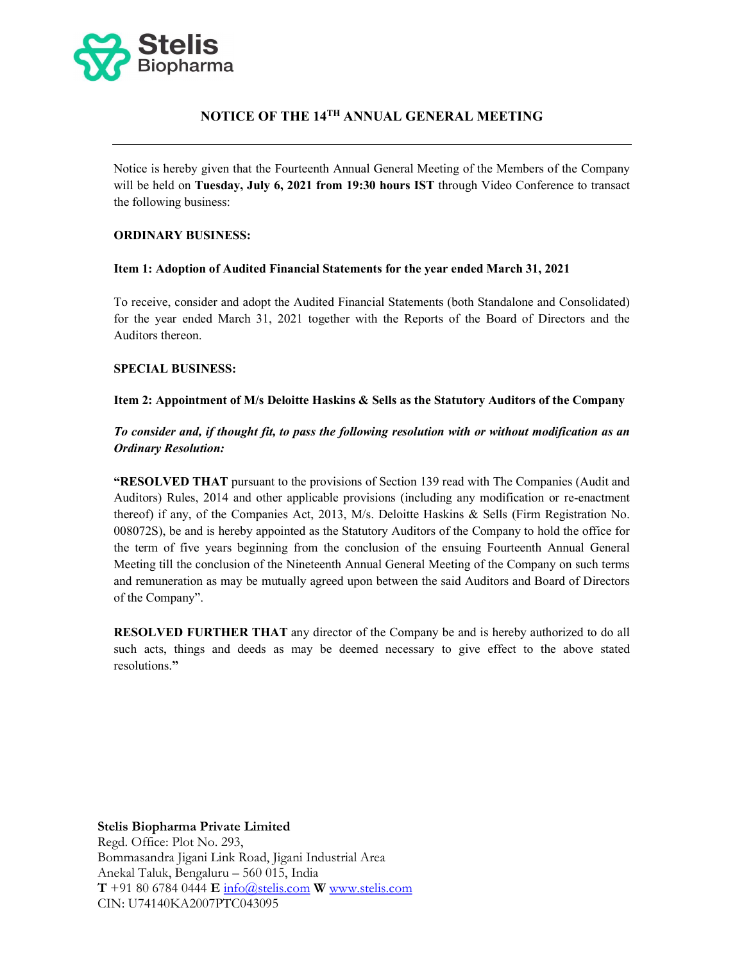

# NOTICE OF THE 14TH ANNUAL GENERAL MEETING

Notice is hereby given that the Fourteenth Annual General Meeting of the Members of the Company will be held on Tuesday, July 6, 2021 from 19:30 hours IST through Video Conference to transact the following business:

#### ORDINARY BUSINESS:

#### Item 1: Adoption of Audited Financial Statements for the year ended March 31, 2021

To receive, consider and adopt the Audited Financial Statements (both Standalone and Consolidated) for the year ended March 31, 2021 together with the Reports of the Board of Directors and the Auditors thereon.

### SPECIAL BUSINESS:

### Item 2: Appointment of M/s Deloitte Haskins & Sells as the Statutory Auditors of the Company

## To consider and, if thought fit, to pass the following resolution with or without modification as an Ordinary Resolution:

"RESOLVED THAT pursuant to the provisions of Section 139 read with The Companies (Audit and Auditors) Rules, 2014 and other applicable provisions (including any modification or re-enactment thereof) if any, of the Companies Act, 2013, M/s. Deloitte Haskins & Sells (Firm Registration No. 008072S), be and is hereby appointed as the Statutory Auditors of the Company to hold the office for the term of five years beginning from the conclusion of the ensuing Fourteenth Annual General Meeting till the conclusion of the Nineteenth Annual General Meeting of the Company on such terms and remuneration as may be mutually agreed upon between the said Auditors and Board of Directors of the Company".

RESOLVED FURTHER THAT any director of the Company be and is hereby authorized to do all such acts, things and deeds as may be deemed necessary to give effect to the above stated resolutions."

#### Stelis Biopharma Private Limited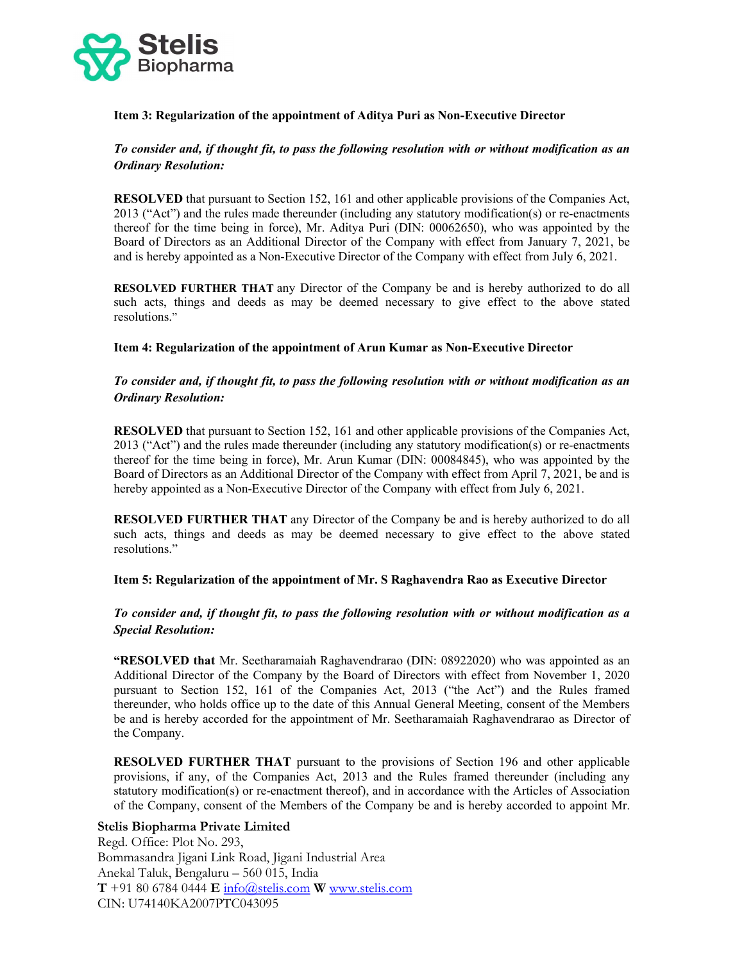

### Item 3: Regularization of the appointment of Aditya Puri as Non-Executive Director

### To consider and, if thought fit, to pass the following resolution with or without modification as an Ordinary Resolution:

RESOLVED that pursuant to Section 152, 161 and other applicable provisions of the Companies Act, 2013 ("Act") and the rules made thereunder (including any statutory modification(s) or re-enactments thereof for the time being in force), Mr. Aditya Puri (DIN: 00062650), who was appointed by the Board of Directors as an Additional Director of the Company with effect from January 7, 2021, be and is hereby appointed as a Non-Executive Director of the Company with effect from July 6, 2021.

RESOLVED FURTHER THAT any Director of the Company be and is hereby authorized to do all such acts, things and deeds as may be deemed necessary to give effect to the above stated resolutions."

#### Item 4: Regularization of the appointment of Arun Kumar as Non-Executive Director

### To consider and, if thought fit, to pass the following resolution with or without modification as an Ordinary Resolution:

RESOLVED that pursuant to Section 152, 161 and other applicable provisions of the Companies Act, 2013 ("Act") and the rules made thereunder (including any statutory modification(s) or re-enactments thereof for the time being in force), Mr. Arun Kumar (DIN: 00084845), who was appointed by the Board of Directors as an Additional Director of the Company with effect from April 7, 2021, be and is hereby appointed as a Non-Executive Director of the Company with effect from July 6, 2021.

RESOLVED FURTHER THAT any Director of the Company be and is hereby authorized to do all such acts, things and deeds as may be deemed necessary to give effect to the above stated resolutions."

#### Item 5: Regularization of the appointment of Mr. S Raghavendra Rao as Executive Director

### To consider and, if thought fit, to pass the following resolution with or without modification as a Special Resolution:

"RESOLVED that Mr. Seetharamaiah Raghavendrarao (DIN: 08922020) who was appointed as an Additional Director of the Company by the Board of Directors with effect from November 1, 2020 pursuant to Section 152, 161 of the Companies Act, 2013 ("the Act") and the Rules framed thereunder, who holds office up to the date of this Annual General Meeting, consent of the Members be and is hereby accorded for the appointment of Mr. Seetharamaiah Raghavendrarao as Director of the Company.

RESOLVED FURTHER THAT pursuant to the provisions of Section 196 and other applicable provisions, if any, of the Companies Act, 2013 and the Rules framed thereunder (including any statutory modification(s) or re-enactment thereof), and in accordance with the Articles of Association of the Company, consent of the Members of the Company be and is hereby accorded to appoint Mr.

#### Stelis Biopharma Private Limited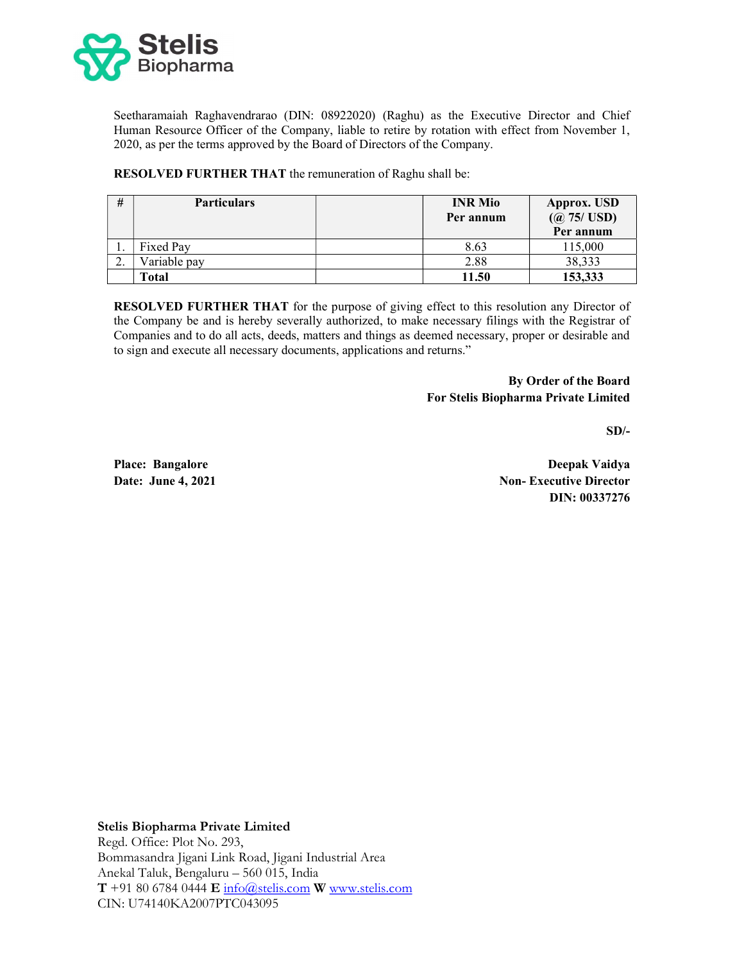

Seetharamaiah Raghavendrarao (DIN: 08922020) (Raghu) as the Executive Director and Chief Human Resource Officer of the Company, liable to retire by rotation with effect from November 1, 2020, as per the terms approved by the Board of Directors of the Company.

RESOLVED FURTHER THAT the remuneration of Raghu shall be:

| #         | <b>Particulars</b> | <b>INR</b> Mio<br>Per annum | Approx. USD<br>(Q 75 / USD)<br>Per annum |
|-----------|--------------------|-----------------------------|------------------------------------------|
| .,        | Fixed Pay          | 8.63                        | 115,000                                  |
| <u>L.</u> | Variable pay       | 2.88                        | 38,333                                   |
|           | <b>Total</b>       | 11.50                       | 153,333                                  |

RESOLVED FURTHER THAT for the purpose of giving effect to this resolution any Director of the Company be and is hereby severally authorized, to make necessary filings with the Registrar of Companies and to do all acts, deeds, matters and things as deemed necessary, proper or desirable and to sign and execute all necessary documents, applications and returns."

> By Order of the Board For Stelis Biopharma Private Limited

> > $SD/-$

Place: Bangalore Date: June 4, 2021

Deepak Vaidya Non- Executive Director DIN: 00337276

Stelis Biopharma Private Limited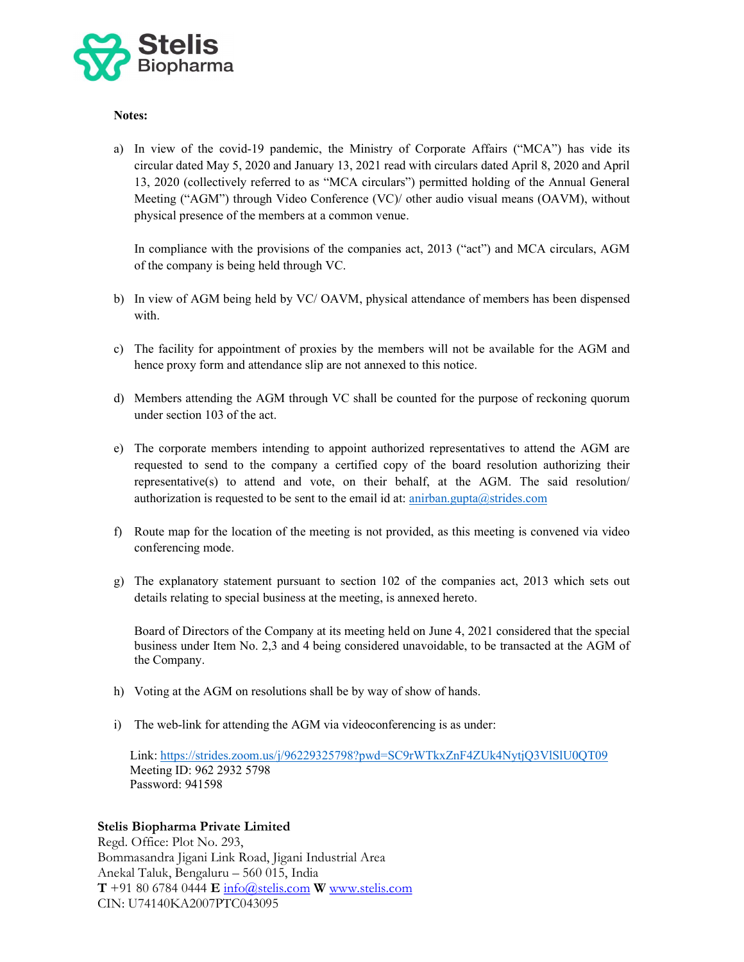

### Notes:

a) In view of the covid-19 pandemic, the Ministry of Corporate Affairs ("MCA") has vide its circular dated May 5, 2020 and January 13, 2021 read with circulars dated April 8, 2020 and April 13, 2020 (collectively referred to as "MCA circulars") permitted holding of the Annual General Meeting ("AGM") through Video Conference (VC)/ other audio visual means (OAVM), without physical presence of the members at a common venue.

In compliance with the provisions of the companies act, 2013 ("act") and MCA circulars, AGM of the company is being held through VC.

- b) In view of AGM being held by VC/ OAVM, physical attendance of members has been dispensed with.
- c) The facility for appointment of proxies by the members will not be available for the AGM and hence proxy form and attendance slip are not annexed to this notice.
- d) Members attending the AGM through VC shall be counted for the purpose of reckoning quorum under section 103 of the act.
- e) The corporate members intending to appoint authorized representatives to attend the AGM are requested to send to the company a certified copy of the board resolution authorizing their representative(s) to attend and vote, on their behalf, at the AGM. The said resolution/ authorization is requested to be sent to the email id at: anirban.gupta@strides.com
- f) Route map for the location of the meeting is not provided, as this meeting is convened via video conferencing mode.
- g) The explanatory statement pursuant to section 102 of the companies act, 2013 which sets out details relating to special business at the meeting, is annexed hereto.

Board of Directors of the Company at its meeting held on June 4, 2021 considered that the special business under Item No. 2,3 and 4 being considered unavoidable, to be transacted at the AGM of the Company.

- h) Voting at the AGM on resolutions shall be by way of show of hands.
- i) The web-link for attending the AGM via videoconferencing is as under:

Link: https://strides.zoom.us/j/96229325798?pwd=SC9rWTkxZnF4ZUk4NytjQ3VlSlU0QT09 Meeting ID: 962 2932 5798 Password: 941598

#### Stelis Biopharma Private Limited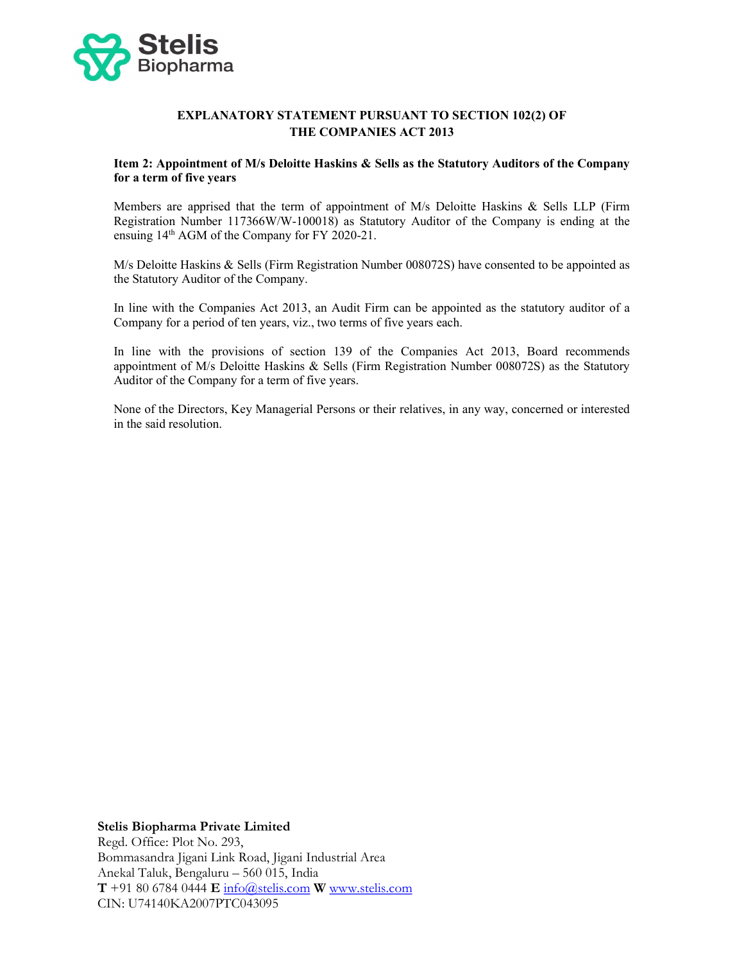

## EXPLANATORY STATEMENT PURSUANT TO SECTION 102(2) OF THE COMPANIES ACT 2013

### Item 2: Appointment of M/s Deloitte Haskins & Sells as the Statutory Auditors of the Company for a term of five years

Members are apprised that the term of appointment of M/s Deloitte Haskins & Sells LLP (Firm Registration Number 117366W/W-100018) as Statutory Auditor of the Company is ending at the ensuing 14th AGM of the Company for FY 2020-21.

M/s Deloitte Haskins & Sells (Firm Registration Number 008072S) have consented to be appointed as the Statutory Auditor of the Company.

In line with the Companies Act 2013, an Audit Firm can be appointed as the statutory auditor of a Company for a period of ten years, viz., two terms of five years each.

In line with the provisions of section 139 of the Companies Act 2013, Board recommends appointment of M/s Deloitte Haskins & Sells (Firm Registration Number 008072S) as the Statutory Auditor of the Company for a term of five years.

None of the Directors, Key Managerial Persons or their relatives, in any way, concerned or interested in the said resolution.

#### Stelis Biopharma Private Limited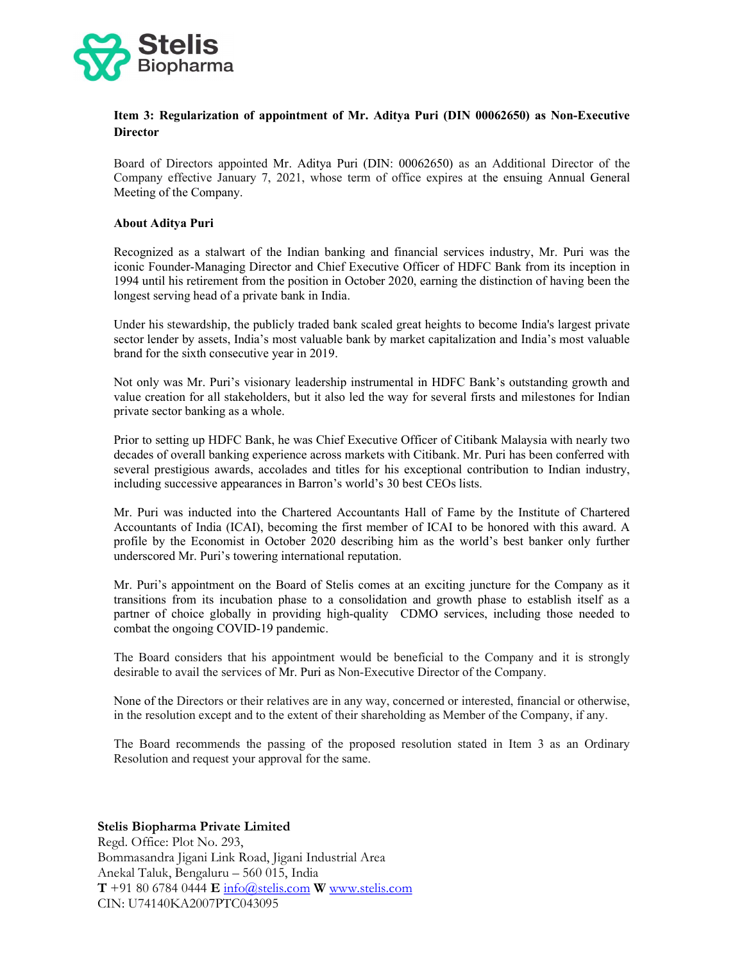

## Item 3: Regularization of appointment of Mr. Aditya Puri (DIN 00062650) as Non-Executive **Director**

Board of Directors appointed Mr. Aditya Puri (DIN: 00062650) as an Additional Director of the Company effective January 7, 2021, whose term of office expires at the ensuing Annual General Meeting of the Company.

#### About Aditya Puri

Recognized as a stalwart of the Indian banking and financial services industry, Mr. Puri was the iconic Founder-Managing Director and Chief Executive Officer of HDFC Bank from its inception in 1994 until his retirement from the position in October 2020, earning the distinction of having been the longest serving head of a private bank in India.

Under his stewardship, the publicly traded bank scaled great heights to become India's largest private sector lender by assets, India's most valuable bank by market capitalization and India's most valuable brand for the sixth consecutive year in 2019.

Not only was Mr. Puri's visionary leadership instrumental in HDFC Bank's outstanding growth and value creation for all stakeholders, but it also led the way for several firsts and milestones for Indian private sector banking as a whole.

Prior to setting up HDFC Bank, he was Chief Executive Officer of Citibank Malaysia with nearly two decades of overall banking experience across markets with Citibank. Mr. Puri has been conferred with several prestigious awards, accolades and titles for his exceptional contribution to Indian industry, including successive appearances in Barron's world's 30 best CEOs lists.

Mr. Puri was inducted into the Chartered Accountants Hall of Fame by the Institute of Chartered Accountants of India (ICAI), becoming the first member of ICAI to be honored with this award. A profile by the Economist in October 2020 describing him as the world's best banker only further underscored Mr. Puri's towering international reputation.

Mr. Puri's appointment on the Board of Stelis comes at an exciting juncture for the Company as it transitions from its incubation phase to a consolidation and growth phase to establish itself as a partner of choice globally in providing high-quality CDMO services, including those needed to combat the ongoing COVID-19 pandemic.

The Board considers that his appointment would be beneficial to the Company and it is strongly desirable to avail the services of Mr. Puri as Non-Executive Director of the Company.

None of the Directors or their relatives are in any way, concerned or interested, financial or otherwise, in the resolution except and to the extent of their shareholding as Member of the Company, if any.

The Board recommends the passing of the proposed resolution stated in Item 3 as an Ordinary Resolution and request your approval for the same.

#### Stelis Biopharma Private Limited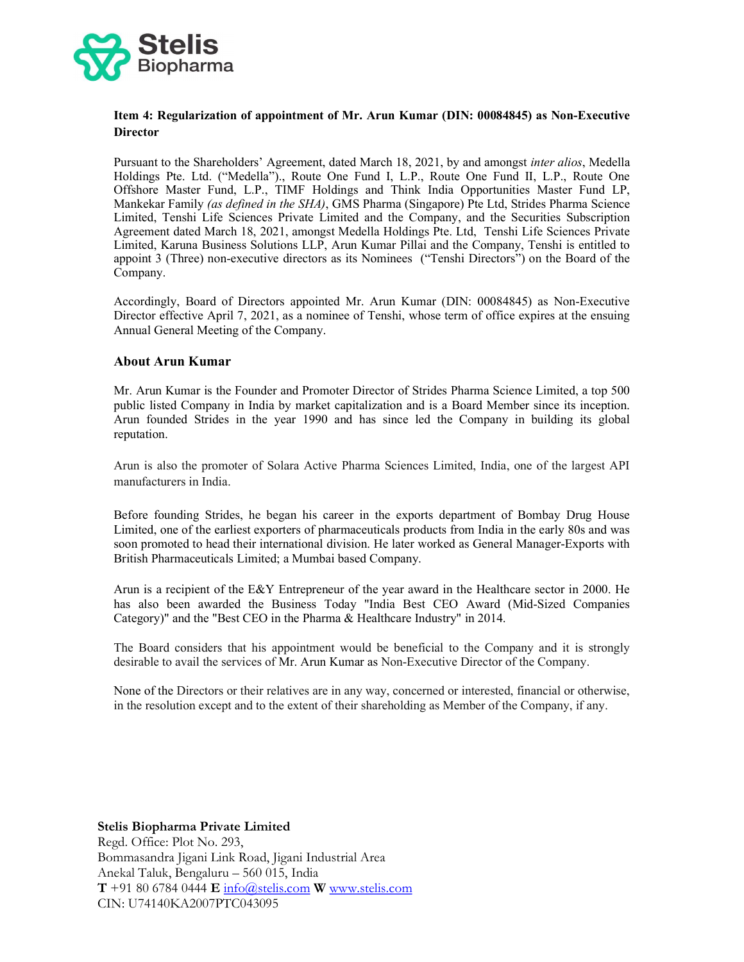

## Item 4: Regularization of appointment of Mr. Arun Kumar (DIN: 00084845) as Non-Executive **Director**

Pursuant to the Shareholders' Agreement, dated March 18, 2021, by and amongst *inter alios*, Medella Holdings Pte. Ltd. ("Medella")., Route One Fund I, L.P., Route One Fund II, L.P., Route One Offshore Master Fund, L.P., TIMF Holdings and Think India Opportunities Master Fund LP, Mankekar Family *(as defined in the SHA)*, GMS Pharma (Singapore) Pte Ltd, Strides Pharma Science Limited, Tenshi Life Sciences Private Limited and the Company, and the Securities Subscription Agreement dated March 18, 2021, amongst Medella Holdings Pte. Ltd, Tenshi Life Sciences Private Limited, Karuna Business Solutions LLP, Arun Kumar Pillai and the Company, Tenshi is entitled to appoint 3 (Three) non-executive directors as its Nominees ("Tenshi Directors") on the Board of the Company.

Accordingly, Board of Directors appointed Mr. Arun Kumar (DIN: 00084845) as Non-Executive Director effective April 7, 2021, as a nominee of Tenshi, whose term of office expires at the ensuing Annual General Meeting of the Company.

#### About Arun Kumar

Mr. Arun Kumar is the Founder and Promoter Director of Strides Pharma Science Limited, a top 500 public listed Company in India by market capitalization and is a Board Member since its inception. Arun founded Strides in the year 1990 and has since led the Company in building its global reputation.

Arun is also the promoter of Solara Active Pharma Sciences Limited, India, one of the largest API manufacturers in India.

Before founding Strides, he began his career in the exports department of Bombay Drug House Limited, one of the earliest exporters of pharmaceuticals products from India in the early 80s and was soon promoted to head their international division. He later worked as General Manager-Exports with British Pharmaceuticals Limited; a Mumbai based Company.

Arun is a recipient of the E&Y Entrepreneur of the year award in the Healthcare sector in 2000. He has also been awarded the Business Today "India Best CEO Award (Mid-Sized Companies Category)" and the "Best CEO in the Pharma & Healthcare Industry" in 2014.

The Board considers that his appointment would be beneficial to the Company and it is strongly desirable to avail the services of Mr. Arun Kumar as Non-Executive Director of the Company.

None of the Directors or their relatives are in any way, concerned or interested, financial or otherwise, in the resolution except and to the extent of their shareholding as Member of the Company, if any.

#### Stelis Biopharma Private Limited